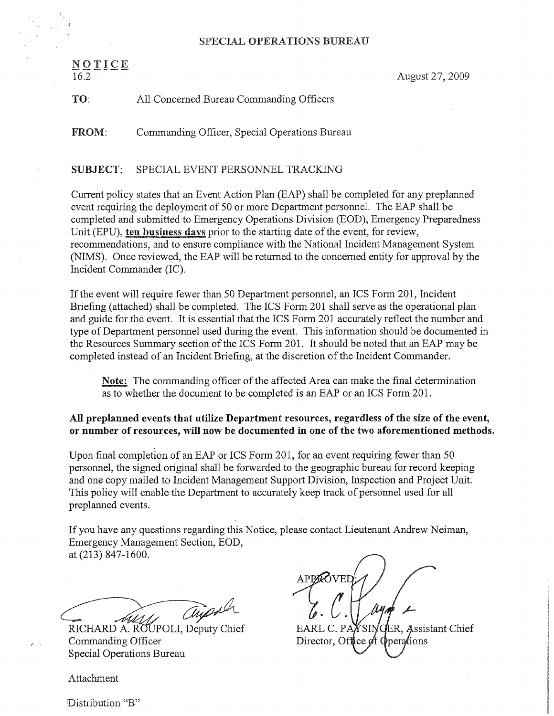## SPECIAL OPERATIONS BUREAU

| 可重 | E. | ı | £. |  |
|----|----|---|----|--|
|    |    |   |    |  |

16.2 August 27, 2009

# TO: All Concerned Bureau Commanding Officers

FROM: Commanding Officer, Special Operations Bureau

## SUBJECT: SPECIAL EVENT PERSONNEL TRACKING

Current policy states that an Event Action Plan (EAP) shall be completed for any preplanned event requiring the deployment of 50 or more Department personnel. The EAP shall be completed and submitted to Emergency Operations Division (EOD), Emergency Preparedness Unit (EPU), ten business days prior to the starting date of the event, for review, recommendations, and to ensure compliance with the National Incident Management System (NIMS). Once reviewed, the EAP will be returned to the concerned entity for approval by the Incident Commnander (IC).

If the event will require fewer than 50 Department personnel, an ICS Form 201, Incident Briefing (attached) shall be completed. The ICS Form 201 shall serve as the operational plan and guide for the event. It is essential that the ICS Form 201 accurately reflect the number and type of Department personnel used during the event. This information should be documented in the Resources Summary section of the ICS Form 201. It should be noted that an EAP maybe completed instead of an Incident Briefing, at the discretion of the Incident Commander.

Note. The commanding officer of the affected Area can make the final determination as to whether the document to be completed is an EAP or an ICS Form 201.

# All preplanned events that utilize Department resources, regardless of the size of the event, or number of resources, will now be documented in one of the two aforementioned methods.

Upon final completion of an EAP or ICS Form 201, for an event requiring fewer than 50 personnel, the signed original shall be forwarded to the geographic bureau for record keeping and one copy mailed to Incident Management Support Division, Inspection and Project Unit. This policy will enable the Department to accurately keep track of personnel used for all preplanned events.

If you have any questions regarding this Notice, please contact Lieutenant Andrew Neiman, Emergency Management Section, EOD, at (213) 847-1600.

RICHARD A. ROUPOLI, Deputy Chief EARL C. PAYSINGER, Assistant Chief

 $\lambda$ , Commanding Officer Birector, Office of Operations Special Operations Bureau

APPAOVED  $\blacksquare$ 

Attachment

Distribution "B"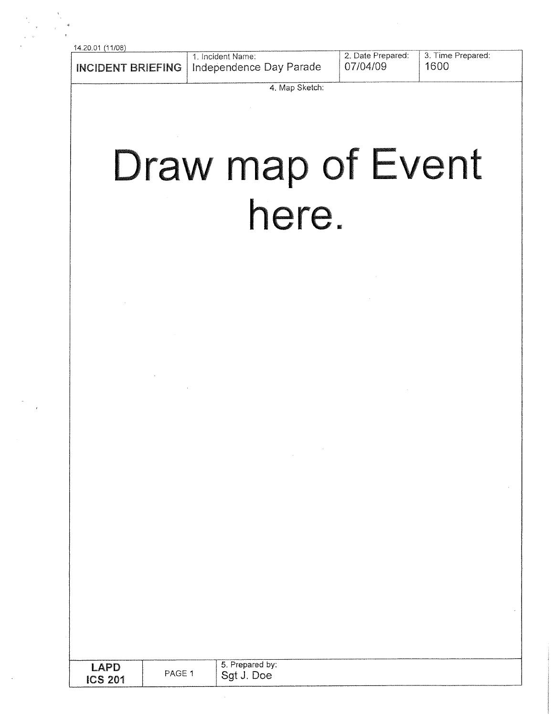14.20.01 (11/08)

| 4.20.01<br>. |                                             |                                                   |      |
|--------------|---------------------------------------------|---------------------------------------------------|------|
|              | 1. Incident Name:                           | 2. Date Prepared: 3. Time Prepared:<br>  07/04/09 | 1600 |
|              | INCIDENT BRIEFING   Independence Day Parade |                                                   |      |

4. Map Sketch:

# Draw map of Event are

| $\mathsf{APP}$<br><b>ICS 201</b> | PAGE 1 | 5.<br>Prepared by:<br><b>Crot</b><br>'Joe |
|----------------------------------|--------|-------------------------------------------|
|                                  |        |                                           |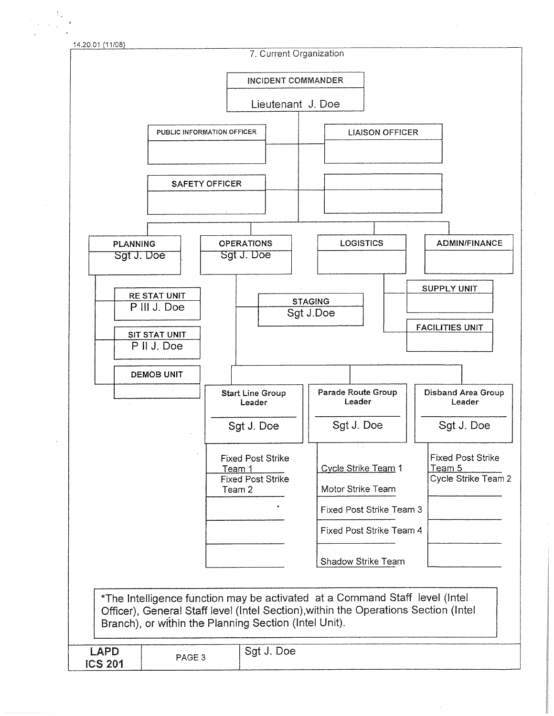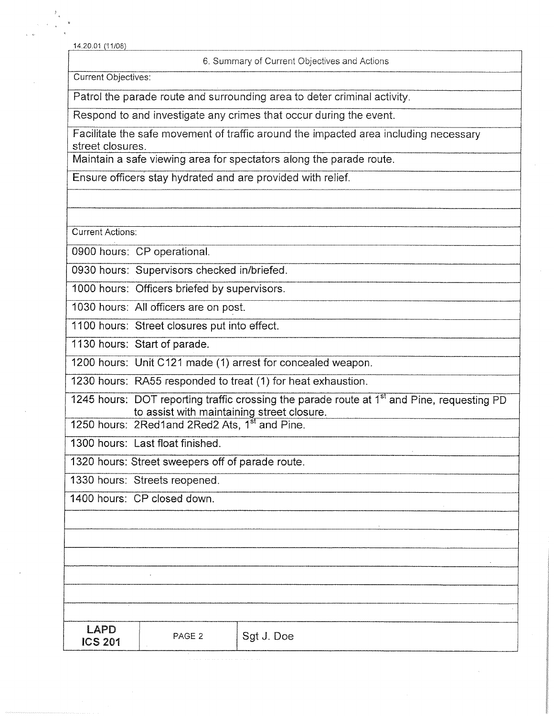14.20.01 (91/08)

### 6. Summary of Current Objectives and Actions

Current Objectives:

Patrol the parade route and surrounding area to deter criminal activity.

Respond to and investigate any crimes that occur during the event.

Facilitate the safe movement of traffic around the impacted area including necessary street closures.

Maintain a safe viewing area for spectators along the parade route.

Ensure officers stay hydrated and are provided with relief.

Current Actions:

0900 hours: CP operational.

0930 hours: Supervisors checked in/briefed.

1000 hours: Officers briefed by supervisors.

1030 hours: All officers are on post.

1100 hours: Street closures put into effect.

1130 hours: Start of parade.

1200 hours: Unit C121 made (1) arrest for concealed weapon.

1230 hours: RA55 responded to treat (1) for heat exhaustion.

1245 hours: DOT reporting traffic crossing the parade route at  $1<sup>st</sup>$  and Pine, requesting PD to assist with maintaining street closure.

1250 hours: 2Red1and 2Red2 Ats, 1<sup>st</sup> and Pine.

1300 hours: Last float finished.

1320 hours: Street sweepers off of parade route.

1330 hours: Sfreets reopened.

1400 hours: CP closed down.

| _______ | _________ |  |  |
|---------|-----------|--|--|
|         |           |  |  |
|         |           |  |  |
|         |           |  |  |
|         |           |  |  |
|         |           |  |  |

PAGE 2  $|$  Sgt J. Doe

| LAPD           |  |
|----------------|--|
| <b>ICS 201</b> |  |